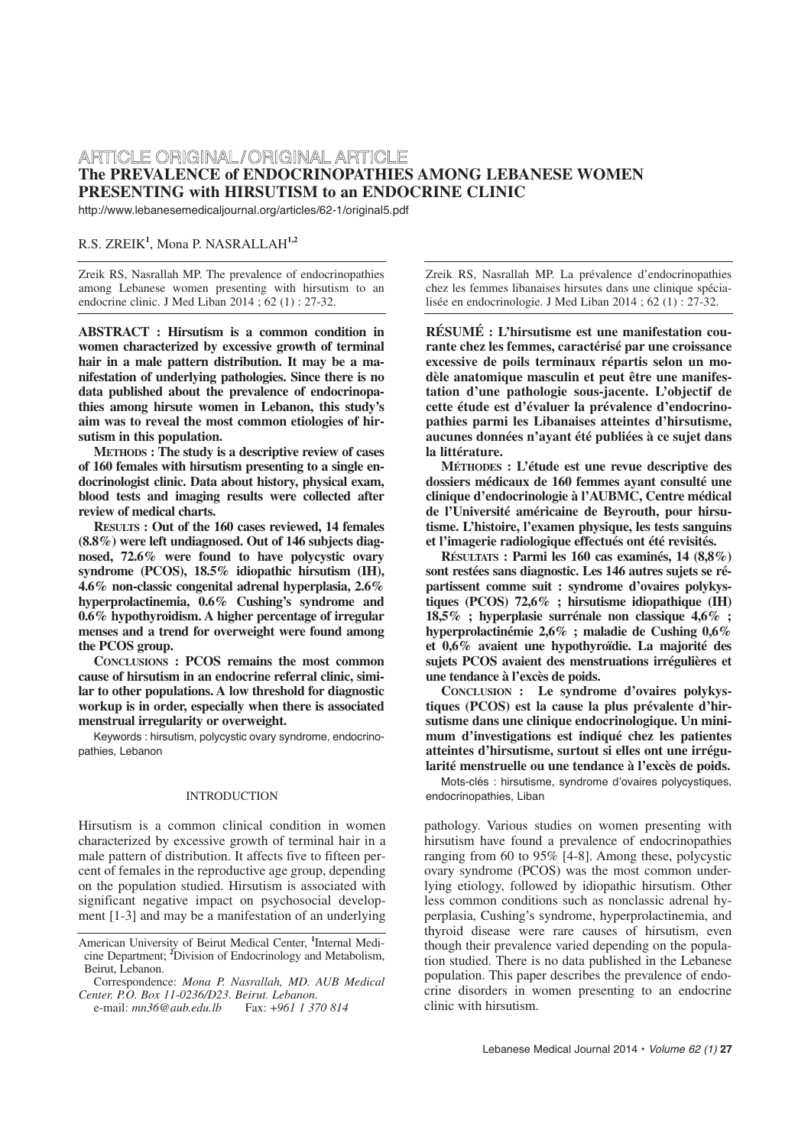# ARTICLE ORIGINAL/ORIGINAL ARTICLE **The PREVALENCE of ENDOCRINOPATHIES AMONG LEBANESE WOMEN PRESENTING with HIRSUTISM to an ENDOCRINE CLINIC**

http://www.lebanesemedicaljournal.org/articles/62-1/original5.pdf

# R.S. ZREIK**<sup>1</sup>** , Mona P. NASRALLAH**1,2**

Zreik RS, Nasrallah MP. The prevalence of endocrinopathies among Lebanese women presenting with hirsutism to an endocrine clinic. J Med Liban 2014 ; 62 (1) : 27-32.

**ABSTRACT : Hirsutism is a common condition in women characterized by excessive growth of terminal hair in a male pattern distribution. It may be a manifestation of underlying pathologies. Since there is no data published about the prevalence of endocrinopathies among hirsute women in Lebanon, this study's aim was to reveal the most common etiologies of hirsutism in this population.** 

**METHODS : The study is a descriptive review of cases of 160 females with hirsutism presenting to a single endocrinologist clinic. Data about history, physical exam, blood tests and imaging results were collected after review of medical charts.** 

**RESULTS : Out of the 160 cases reviewed, 14 females (8.8%) were left undiagnosed. Out of 146 subjects diagnosed, 72.6% were found to have polycystic ovary syndrome (PCOS), 18.5% idiopathic hirsutism (IH), 4.6% non-classic congenital adrenal hyperplasia, 2.6% hyperprolactinemia, 0.6% Cushing's syndrome and 0.6% hypothyroidism. A higher percentage of irregular menses and a trend for overweight were found among the PCOS group.**

**CONCLUSIONS : PCOS remains the most common cause of hirsutism in an endocrine referral clinic, similar to other populations. A low threshold for diagnostic workup is in order, especially when there is associated menstrual irregularity or overweight.** 

Keywords : hirsutism, polycystic ovary syndrome, endocrinopathies, Lebanon

# INTRODUCTION

Hirsutism is a common clinical condition in women characterized by excessive growth of terminal hair in a male pattern of distribution. It affects five to fifteen percent of females in the reproductive age group, depending on the population studied. Hirsutism is associated with significant negative impact on psychosocial development [1-3] and may be a manifestation of an underlying

Zreik RS, Nasrallah MP. La prévalence d'endocrinopathies chez les femmes libanaises hirsutes dans une clinique spécialisée en endocrinologie. J Med Liban 2014 ; 62 (1) : 27-32.

**RÉSUMÉ : L'hirsutisme est une manifestation courante chez les femmes, caractérisé par une croissance excessive de poils terminaux répartis selon un modèle anatomique masculin et peut être une manifestation d'une pathologie sous-jacente. L'objectif de cette étude est d'évaluer la prévalence d'endocrinopathies parmi les Libanaises atteintes d'hirsutisme, aucunes données n'ayant été publiées à ce sujet dans la littérature.**

**MÉTHODES : L'étude est une revue descriptive des dossiers médicaux de 160 femmes ayant consulté une clinique d'endocrinologie à l'AUBMC, Centre médical de l'Université américaine de Beyrouth, pour hirsutisme. L'histoire, l'examen physique, les tests sanguins et l'imagerie radiologique effectués ont été revisités.** 

**RÉSULTATS : Parmi les 160 cas examinés, 14 (8,8%) sont restées sans diagnostic. Les 146 autres sujets se répartissent comme suit : syndrome d'ovaires polykystiques (PCOS) 72,6% ; hirsutisme idiopathique (IH) 18,5% ; hyperplasie surrénale non classique 4,6% ; hyperprolactinémie 2,6% ; maladie de Cushing 0,6% et 0,6% avaient une hypothyroïdie. La majorité des sujets PCOS avaient des menstruations irrégulières et une tendance à l'excès de poids.**

**CONCLUSION : Le syndrome d'ovaires polykystiques (PCOS) est la cause la plus prévalente d'hirsutisme dans une clinique endocrinologique. Un minimum d'investigations est indiqué chez les patientes atteintes d'hirsutisme, surtout si elles ont une irrégularité menstruelle ou une tendance à l'excès de poids.**

Mots-clés : hirsutisme, syndrome d'ovaires polycystiques, endocrinopathies, Liban

pathology. Various studies on women presenting with hirsutism have found a prevalence of endocrinopathies ranging from 60 to 95% [4-8]. Among these, polycystic ovary syndrome (PCOS) was the most common underlying etiology, followed by idiopathic hirsutism. Other less common conditions such as nonclassic adrenal hyperplasia, Cushing's syndrome, hyperprolactinemia, and thyroid disease were rare causes of hirsutism, even though their prevalence varied depending on the population studied. There is no data published in the Lebanese population. This paper describes the prevalence of endocrine disorders in women presenting to an endocrine clinic with hirsutism.

American University of Beirut Medical Center, **<sup>1</sup>** Internal Medicine Department; **<sup>2</sup>** Division of Endocrinology and Metabolism, Beirut, Lebanon.

Correspondence: *Mona P. Nasrallah, MD. AUB Medical Center. P.O. Box 11-0236/D23. Beirut. Lebanon.* e-mail: *mn36@aub.edu.lb* Fax: +*961 1 370 814*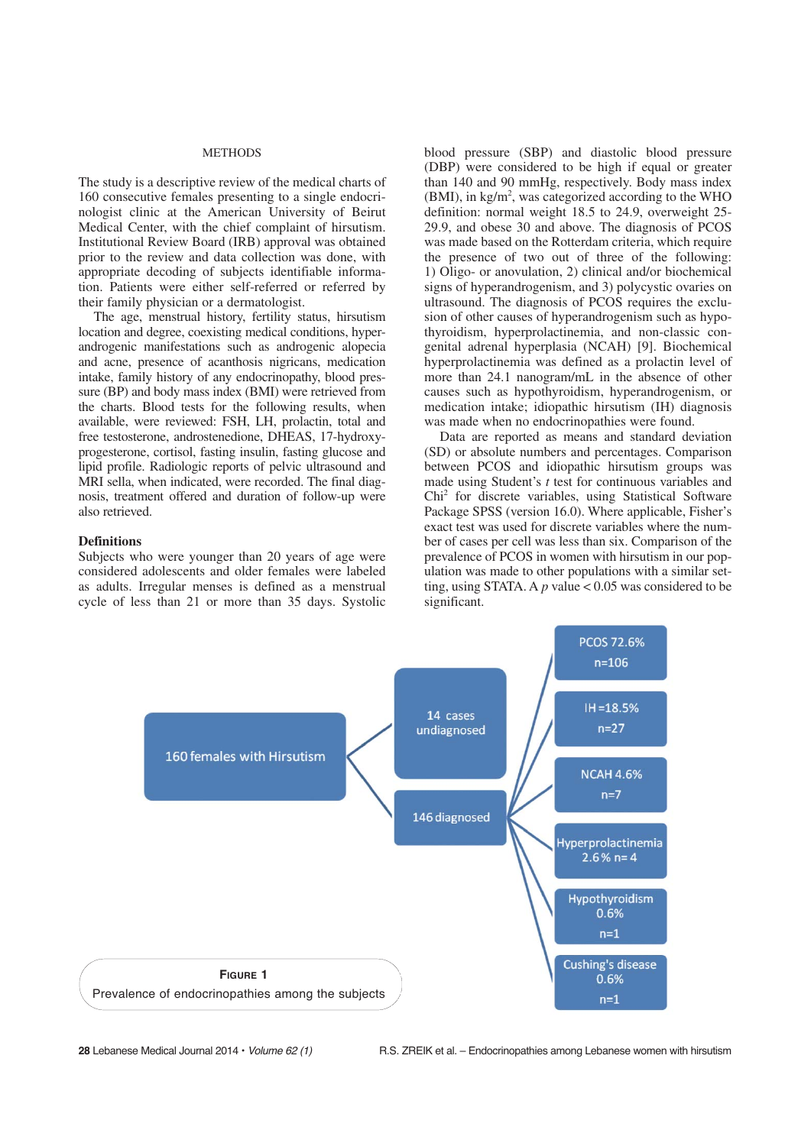#### METHODS

The study is a descriptive review of the medical charts of 160 consecutive females presenting to a single endocrinologist clinic at the American University of Beirut Medical Center, with the chief complaint of hirsutism. Institutional Review Board (IRB) approval was obtained prior to the review and data collection was done, with appropriate decoding of subjects identifiable information. Patients were either self-referred or referred by their family physician or a dermatologist.

The age, menstrual history, fertility status, hirsutism location and degree, coexisting medical conditions, hyperandrogenic manifestations such as androgenic alopecia and acne, presence of acanthosis nigricans, medication intake, family history of any endocrinopathy, blood pressure (BP) and body mass index (BMI) were retrieved from the charts. Blood tests for the following results, when available, were reviewed: FSH, LH, prolactin, total and free testosterone, androstenedione, DHEAS, 17-hydroxyprogesterone, cortisol, fasting insulin, fasting glucose and lipid profile. Radiologic reports of pelvic ultrasound and MRI sella, when indicated, were recorded. The final diagnosis, treatment offered and duration of follow-up were also retrieved.

#### **Definitions**

Subjects who were younger than 20 years of age were considered adolescents and older females were labeled as adults. Irregular menses is defined as a menstrual cycle of less than 21 or more than 35 days. Systolic blood pressure (SBP) and diastolic blood pressure (DBP) were considered to be high if equal or greater than 140 and 90 mmHg, respectively. Body mass index  $(BMI)$ , in kg/m<sup>2</sup>, was categorized according to the WHO definition: normal weight 18.5 to 24.9, overweight 25- 29.9, and obese 30 and above. The diagnosis of PCOS was made based on the Rotterdam criteria, which require the presence of two out of three of the following: 1) Oligo- or anovulation, 2) clinical and/or biochemical signs of hyperandrogenism, and 3) polycystic ovaries on ultrasound. The diagnosis of PCOS requires the exclusion of other causes of hyperandrogenism such as hypothyroidism, hyperprolactinemia, and non-classic congenital adrenal hyperplasia (NCAH) [9]. Biochemical hyperprolactinemia was defined as a prolactin level of more than 24.1 nanogram/mL in the absence of other causes such as hypothyroidism, hyperandrogenism, or medication intake; idiopathic hirsutism (IH) diagnosis was made when no endocrinopathies were found.

Data are reported as means and standard deviation (SD) or absolute numbers and percentages. Comparison between PCOS and idiopathic hirsutism groups was made using Student's *t* test for continuous variables and Chi2 for discrete variables, using Statistical Software Package SPSS (version 16.0). Where applicable, Fisher's exact test was used for discrete variables where the number of cases per cell was less than six. Comparison of the prevalence of PCOS in women with hirsutism in our population was made to other populations with a similar setting, using STATA. A  $p$  value < 0.05 was considered to be significant.

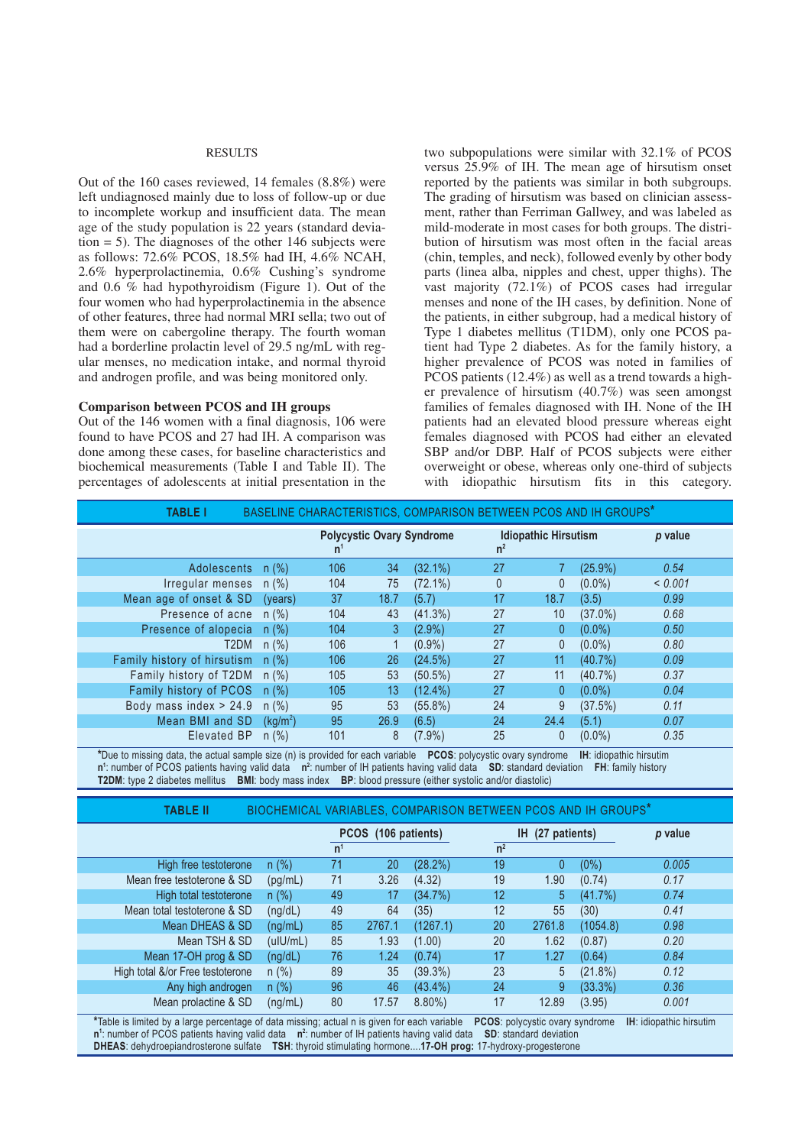#### RESULTS

Out of the 160 cases reviewed, 14 females (8.8%) were left undiagnosed mainly due to loss of follow-up or due to incomplete workup and insufficient data. The mean age of the study population is 22 years (standard deviation  $= 5$ ). The diagnoses of the other 146 subjects were as follows: 72.6% PCOS, 18.5% had IH, 4.6% NCAH, 2.6% hyperprolactinemia, 0.6% Cushing's syndrome and 0.6 % had hypothyroidism (Figure 1). Out of the four women who had hyperprolactinemia in the absence of other features, three had normal MRI sella; two out of them were on cabergoline therapy. The fourth woman had a borderline prolactin level of 29.5 ng/mL with regular menses, no medication intake, and normal thyroid and androgen profile, and was being monitored only.

# **Comparison between PCOS and IH groups**

Out of the 146 women with a final diagnosis, 106 were found to have PCOS and 27 had IH. A comparison was done among these cases, for baseline characteristics and biochemical measurements (Table I and Table II). The percentages of adolescents at initial presentation in the two subpopulations were similar with 32.1% of PCOS versus 25.9% of IH. The mean age of hirsutism onset reported by the patients was similar in both subgroups. The grading of hirsutism was based on clinician assessment, rather than Ferriman Gallwey, and was labeled as mild-moderate in most cases for both groups. The distribution of hirsutism was most often in the facial areas (chin, temples, and neck), followed evenly by other body parts (linea alba, nipples and chest, upper thighs). The vast majority (72.1%) of PCOS cases had irregular menses and none of the IH cases, by definition. None of the patients, in either subgroup, had a medical history of Type 1 diabetes mellitus (T1DM), only one PCOS patient had Type 2 diabetes. As for the family history, a higher prevalence of PCOS was noted in families of PCOS patients (12.4%) as well as a trend towards a higher prevalence of hirsutism (40.7%) was seen amongst families of females diagnosed with IH. None of the IH patients had an elevated blood pressure whereas eight females diagnosed with PCOS had either an elevated SBP and/or DBP. Half of PCOS subjects were either overweight or obese, whereas only one-third of subjects with idiopathic hirsutism fits in this category.

| BASELINE CHARACTERISTICS, COMPARISON BETWEEN PCOS AND IH GROUPS*<br><b>TABLE I</b> |                      |     |      |                                  |              |                             |            |         |
|------------------------------------------------------------------------------------|----------------------|-----|------|----------------------------------|--------------|-----------------------------|------------|---------|
|                                                                                    |                      | n   |      | <b>Polycystic Ovary Syndrome</b> | $n^2$        | <b>Idiopathic Hirsutism</b> |            | p value |
| Adolescents n(%)                                                                   |                      | 106 | 34   | $(32.1\%)$                       | 27           |                             | $(25.9\%)$ | 0.54    |
| Irregular menses $n$ (%)                                                           |                      | 104 | 75   | $(72.1\%)$                       | $\mathbf{0}$ | 0                           | $(0.0\%)$  | < 0.001 |
| Mean age of onset & SD                                                             | (years)              | 37  | 18.7 | (5.7)                            | 17           | 18.7                        | (3.5)      | 0.99    |
| Presence of acne $n$ (%)                                                           |                      | 104 | 43   | $(41.3\%)$                       | 27           | 10                          | $(37.0\%)$ | 0.68    |
| Presence of alopecia n (%)                                                         |                      | 104 | 3    | $(2.9\%)$                        | 27           | $\mathbf{0}$                | $(0.0\%)$  | 0.50    |
| T <sub>2</sub> DM                                                                  | $n$ (%)              | 106 |      | $(0.9\%)$                        | 27           | 0                           | $(0.0\%)$  | 0.80    |
| Family history of hirsutism n (%)                                                  |                      | 106 | 26   | (24.5%)                          | 27           | 11                          | $(40.7\%)$ | 0.09    |
| Family history of T2DM                                                             | n (%)                | 105 | 53   | $(50.5\%)$                       | 27           | 11                          | $(40.7\%)$ | 0.37    |
| Family history of PCOS                                                             | n (%)                | 105 | 13   | $(12.4\%)$                       | 27           | 0                           | $(0.0\%)$  | 0.04    |
| Body mass index $> 24.9$                                                           | $n$ (%)              | 95  | 53   | $(55.8\%)$                       | 24           | 9                           | (37.5%)    | 0.11    |
| Mean BMI and SD                                                                    | (kg/m <sup>2</sup> ) | 95  | 26.9 | (6.5)                            | 24           | 24.4                        | (5.1)      | 0.07    |
| Elevated BP                                                                        | $n$ (%)              | 101 | 8    | $(7.9\%)$                        | 25           | 0                           | $(0.0\%)$  | 0.35    |

**\***Due to missing data, the actual sample size (n) is provided for each variable **PCOS**: polycystic ovary syndrome **IH**: idiopathic hirsutim n<sup>1</sup>: number of PCOS patients having valid data n<sup>2</sup>: number of IH patients having valid data SD: standard deviation FH: family history **T2DM**: type 2 diabetes mellitus **BMI**: body mass index **BP**: blood pressure (either systolic and/or diastolic)

| BIOCHEMICAL VARIABLES, COMPARISON BETWEEN PCOS AND IH GROUPS*<br><b>TABLE II</b> |          |                     |        |            |                |               |            |         |
|----------------------------------------------------------------------------------|----------|---------------------|--------|------------|----------------|---------------|------------|---------|
|                                                                                  |          | PCOS (106 patients) |        |            | IH.            | (27 patients) |            | p value |
|                                                                                  |          | n <sup>1</sup>      |        |            | n <sup>2</sup> |               |            |         |
| High free testoterone                                                            | $n$ (%)  | 71                  | 20     | (28.2%)    | 19             | $\mathbf{0}$  | $(0\%)$    | 0.005   |
| Mean free testoterone & SD                                                       | (pg/mL)  | 71                  | 3.26   | (4.32)     | 19             | 1.90          | (0.74)     | 0.17    |
| High total testoterone                                                           | $n$ (%)  | 49                  | 17     | (34.7%)    | 12             | 5             | $(41.7\%)$ | 0.74    |
| Mean total testoterone & SD                                                      | (ng/dL)  | 49                  | 64     | (35)       | 12             | 55            | (30)       | 0.41    |
| Mean DHEAS & SD                                                                  | (ng/mL)  | 85                  | 2767.1 | (1267.1)   | 20             | 2761.8        | (1054.8)   | 0.98    |
| Mean TSH & SD                                                                    | (ulU/mL) | 85                  | 1.93   | (1.00)     | 20             | 1.62          | (0.87)     | 0.20    |
| Mean 17-OH prog & SD                                                             | (ng/dL)  | 76                  | 1.24   | (0.74)     | 17             | 1.27          | (0.64)     | 0.84    |
| High total &/or Free testoterone                                                 | $n$ (%)  | 89                  | 35     | $(39.3\%)$ | 23             | 5             | $(21.8\%)$ | 0.12    |
| Any high androgen                                                                | $n$ (%)  | 96                  | 46     | $(43.4\%)$ | 24             | 9             | (33.3%)    | 0.36    |
| Mean prolactine & SD                                                             | (nq/mL)  | 80                  | 17.57  | $8.80\%$   | 17             | 12.89         | (3.95)     | 0.001   |

**\***Table is limited by a large percentage of data missing; actual n is given for each variable **PCOS**: polycystic ovary syndrome **IH**: idiopathic hirsutim **n<sup>1</sup>**: number of PCOS patients having valid data n<sup>2</sup>: number of IH patients having valid data SD: standard deviation **DHEAS**: dehydroepiandrosterone sulfate **TSH**: thyroid stimulating hormone....**17-OH prog:** 17-hydroxy-progesterone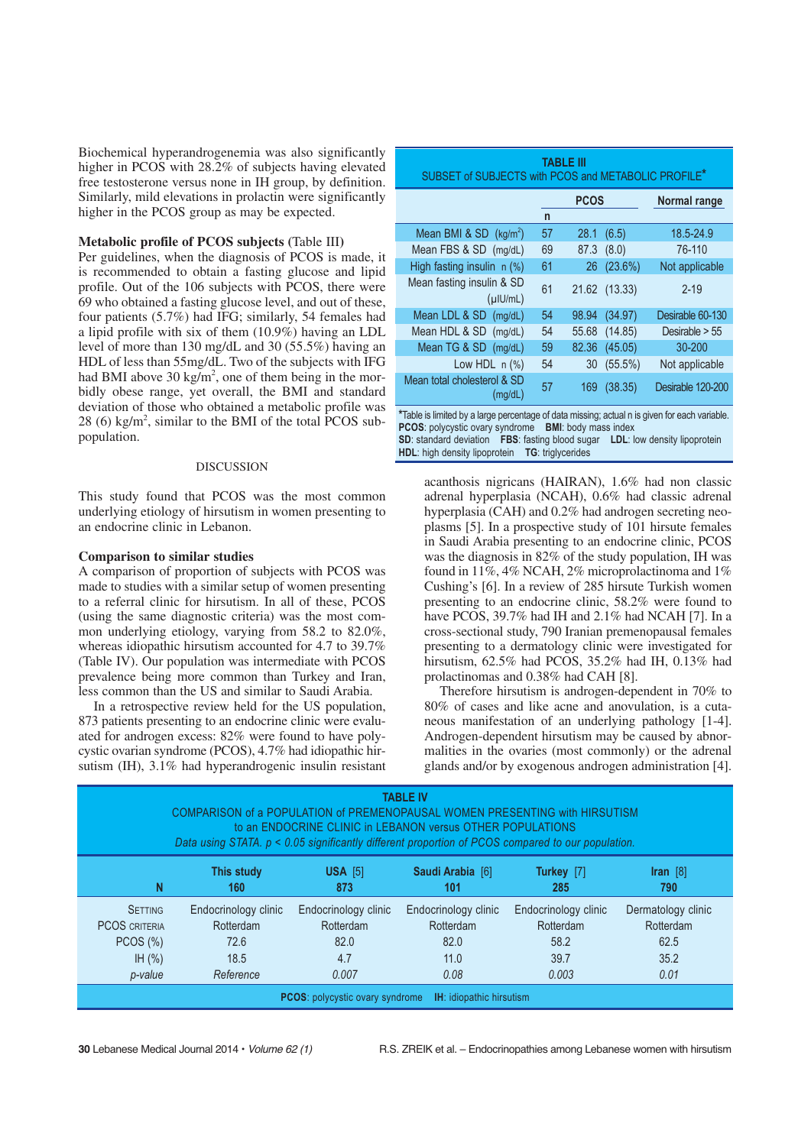Biochemical hyperandrogenemia was also significantly higher in PCOS with 28.2% of subjects having elevated free testosterone versus none in IH group, by definition. Similarly, mild elevations in prolactin were significantly higher in the PCOS group as may be expected.

# **Metabolic profile of PCOS subjects (**Table III**)**

Per guidelines, when the diagnosis of PCOS is made, it is recommended to obtain a fasting glucose and lipid profile. Out of the 106 subjects with PCOS, there were 69 who obtained a fasting glucose level, and out of these, four patients (5.7%) had IFG; similarly, 54 females had a lipid profile with six of them (10.9%) having an LDL level of more than 130 mg/dL and 30 (55.5%) having an HDL of less than 55mg/dL. Two of the subjects with IFG had BMI above  $30 \text{ kg/m}^2$ , one of them being in the morbidly obese range, yet overall, the BMI and standard deviation of those who obtained a metabolic profile was 28 (6)  $\text{kg/m}^2$ , similar to the BMI of the total PCOS subpopulation.

#### DISCUSSION

This study found that PCOS was the most common underlying etiology of hirsutism in women presenting to an endocrine clinic in Lebanon.

### **Comparison to similar studies**

A comparison of proportion of subjects with PCOS was made to studies with a similar setup of women presenting to a referral clinic for hirsutism. In all of these, PCOS (using the same diagnostic criteria) was the most common underlying etiology, varying from 58.2 to 82.0%, whereas idiopathic hirsutism accounted for 4.7 to 39.7% (Table IV). Our population was intermediate with PCOS prevalence being more common than Turkey and Iran, less common than the US and similar to Saudi Arabia.

In a retrospective review held for the US population, 873 patients presenting to an endocrine clinic were evaluated for androgen excess: 82% were found to have polycystic ovarian syndrome (PCOS), 4.7% had idiopathic hirsutism (IH), 3.1% had hyperandrogenic insulin resistant

| <b>TABLE III</b><br>SUBSET of SUBJECTS with PCOS and METABOLIC PROFILE <sup>*</sup> |              |             |               |                   |  |  |
|-------------------------------------------------------------------------------------|--------------|-------------|---------------|-------------------|--|--|
|                                                                                     |              | <b>PCOS</b> | Normal range  |                   |  |  |
|                                                                                     | $\mathsf{n}$ |             |               |                   |  |  |
| Mean BMI & SD (kg/m <sup>2</sup> )                                                  | 57           | 28.1        | (6.5)         | 18.5-24.9         |  |  |
| Mean FBS & SD (mg/dL)                                                               | 69           |             | 87.3 (8.0)    | 76-110            |  |  |
| High fasting insulin n (%)                                                          | 61           |             | 26 (23.6%)    | Not applicable    |  |  |
| Mean fasting insulin & SD<br>$($ µ $ U/mL)$                                         | 61           |             | 21.62 (13.33) | $2 - 19$          |  |  |
| Mean LDL & SD (mg/dL)                                                               | 54           |             | 98.94 (34.97) | Desirable 60-130  |  |  |
| Mean HDL & SD (mg/dL)                                                               | 54           |             | 55.68 (14.85) | Desirable $> 55$  |  |  |
| Mean TG & SD (mg/dL)                                                                | 59           | 82.36       | (45.05)       | $30 - 200$        |  |  |
| Low HDL $n$ $(\%)$                                                                  | 54           | 30          | $(55.5\%)$    | Not applicable    |  |  |
| Mean total cholesterol & SD<br>(mg/dL)                                              | 57           |             | 169 (38.35)   | Desirable 120-200 |  |  |
|                                                                                     |              |             |               |                   |  |  |

**\***Table is limited by a large percentage of data missing; actual n is given for each variable. **PCOS**: polycystic ovary syndrome **BMI**: body mass index **SD**: standard deviation **FBS**: fasting blood sugar **LDL**: low density lipoprotein **HDL**: high density lipoprotein **TG**: triglycerides

acanthosis nigricans (HAIRAN), 1.6% had non classic adrenal hyperplasia (NCAH), 0.6% had classic adrenal hyperplasia (CAH) and 0.2% had androgen secreting neoplasms [5]. In a prospective study of 101 hirsute females in Saudi Arabia presenting to an endocrine clinic, PCOS was the diagnosis in 82% of the study population, IH was found in 11%, 4% NCAH, 2% microprolactinoma and 1% Cushing's [6]. In a review of 285 hirsute Turkish women presenting to an endocrine clinic, 58.2% were found to have PCOS, 39.7% had IH and 2.1% had NCAH [7]. In a cross-sectional study, 790 Iranian premenopausal females presenting to a dermatology clinic were investigated for hirsutism, 62.5% had PCOS, 35.2% had IH, 0.13% had prolactinomas and 0.38% had CAH [8].

Therefore hirsutism is androgen-dependent in 70% to 80% of cases and like acne and anovulation, is a cutaneous manifestation of an underlying pathology [1-4]. Androgen-dependent hirsutism may be caused by abnormalities in the ovaries (most commonly) or the adrenal glands and/or by exogenous androgen administration [4].

| TABLE IV<br>COMPARISON of a POPULATION of PREMENOPAUSAL WOMEN PRESENTING with HIRSUTISM<br>to an ENDOCRINE CLINIC in LEBANON versus OTHER POPULATIONS<br>Data using STATA. $p < 0.05$ significantly different proportion of PCOS compared to our population. |                      |                      |                      |                      |                     |  |  |
|--------------------------------------------------------------------------------------------------------------------------------------------------------------------------------------------------------------------------------------------------------------|----------------------|----------------------|----------------------|----------------------|---------------------|--|--|
| N                                                                                                                                                                                                                                                            | This study           | $USA$ [5]            | Saudi Arabia [6]     | Turkey [7]           | $\textsf{Iran}$ [8] |  |  |
|                                                                                                                                                                                                                                                              | 160                  | 873                  | 101                  | 285                  | 790                 |  |  |
| <b>SETTING</b>                                                                                                                                                                                                                                               | Endocrinology clinic | Endocrinology clinic | Endocrinology clinic | Endocrinology clinic | Dermatology clinic  |  |  |
| <b>PCOS CRITERIA</b>                                                                                                                                                                                                                                         | Rotterdam            | <b>Rotterdam</b>     | Rotterdam            | Rotterdam            | Rotterdam           |  |  |
| PCOS (%)                                                                                                                                                                                                                                                     | 72.6                 | 82.0                 | 82.0                 | 58.2                 | 62.5                |  |  |
| IH $(\% )$                                                                                                                                                                                                                                                   | 18.5                 | 4.7                  | 11.0                 | 39.7                 | 35.2                |  |  |
| p-value                                                                                                                                                                                                                                                      | Reference            | 0.007                | 0.08                 | 0.003                | 0.01                |  |  |
| <b>IH:</b> idiopathic hirsutism<br><b>PCOS:</b> polycystic ovary syndrome                                                                                                                                                                                    |                      |                      |                      |                      |                     |  |  |

**30** Lebanese Medical Journal 2014 • Volume 62 (1) R.S. ZREIK et al. – Endocrinopathies among Lebanese women with hirsutism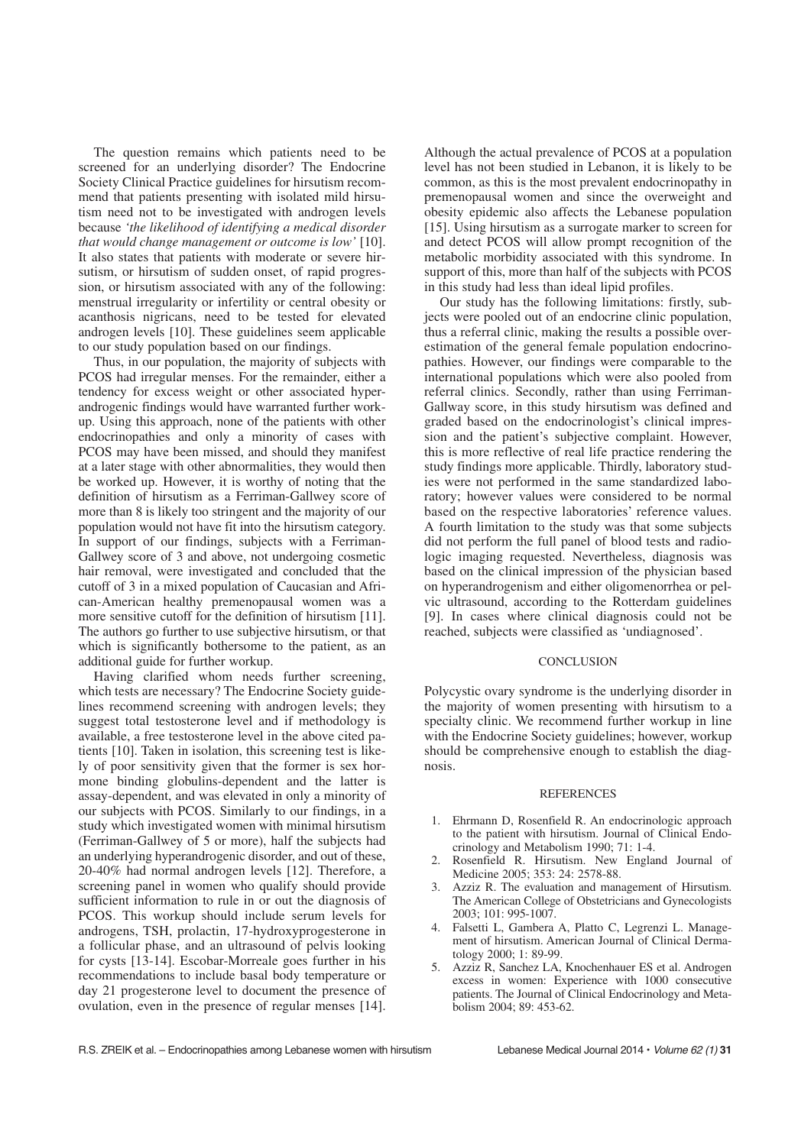The question remains which patients need to be screened for an underlying disorder? The Endocrine Society Clinical Practice guidelines for hirsutism recommend that patients presenting with isolated mild hirsutism need not to be investigated with androgen levels because *'the likelihood of identifying a medical disorder that would change management or outcome is low'* [10]. It also states that patients with moderate or severe hirsutism, or hirsutism of sudden onset, of rapid progression, or hirsutism associated with any of the following: menstrual irregularity or infertility or central obesity or acanthosis nigricans, need to be tested for elevated androgen levels [10]. These guidelines seem applicable to our study population based on our findings.

Thus, in our population, the majority of subjects with PCOS had irregular menses. For the remainder, either a tendency for excess weight or other associated hyperandrogenic findings would have warranted further workup. Using this approach, none of the patients with other endocrinopathies and only a minority of cases with PCOS may have been missed, and should they manifest at a later stage with other abnormalities, they would then be worked up. However, it is worthy of noting that the definition of hirsutism as a Ferriman-Gallwey score of more than 8 is likely too stringent and the majority of our population would not have fit into the hirsutism category. In support of our findings, subjects with a Ferriman-Gallwey score of 3 and above, not undergoing cosmetic hair removal, were investigated and concluded that the cutoff of 3 in a mixed population of Caucasian and African-American healthy premenopausal women was a more sensitive cutoff for the definition of hirsutism [11]. The authors go further to use subjective hirsutism, or that which is significantly bothersome to the patient, as an additional guide for further workup.

Having clarified whom needs further screening, which tests are necessary? The Endocrine Society guidelines recommend screening with androgen levels; they suggest total testosterone level and if methodology is available, a free testosterone level in the above cited patients [10]. Taken in isolation, this screening test is likely of poor sensitivity given that the former is sex hormone binding globulins-dependent and the latter is assay-dependent, and was elevated in only a minority of our subjects with PCOS. Similarly to our findings, in a study which investigated women with minimal hirsutism (Ferriman-Gallwey of 5 or more), half the subjects had an underlying hyperandrogenic disorder, and out of these, 20-40% had normal androgen levels [12]. Therefore, a screening panel in women who qualify should provide sufficient information to rule in or out the diagnosis of PCOS. This workup should include serum levels for androgens, TSH, prolactin, 17-hydroxyprogesterone in a follicular phase, and an ultrasound of pelvis looking for cysts [13-14]. Escobar-Morreale goes further in his recommendations to include basal body temperature or day 21 progesterone level to document the presence of ovulation, even in the presence of regular menses [14].

Although the actual prevalence of PCOS at a population level has not been studied in Lebanon, it is likely to be common, as this is the most prevalent endocrinopathy in premenopausal women and since the overweight and obesity epidemic also affects the Lebanese population [15]. Using hirsutism as a surrogate marker to screen for and detect PCOS will allow prompt recognition of the metabolic morbidity associated with this syndrome. In support of this, more than half of the subjects with PCOS in this study had less than ideal lipid profiles.

Our study has the following limitations: firstly, subjects were pooled out of an endocrine clinic population, thus a referral clinic, making the results a possible overestimation of the general female population endocrinopathies. However, our findings were comparable to the international populations which were also pooled from referral clinics. Secondly, rather than using Ferriman-Gallway score, in this study hirsutism was defined and graded based on the endocrinologist's clinical impression and the patient's subjective complaint. However, this is more reflective of real life practice rendering the study findings more applicable. Thirdly, laboratory studies were not performed in the same standardized laboratory; however values were considered to be normal based on the respective laboratories' reference values. A fourth limitation to the study was that some subjects did not perform the full panel of blood tests and radiologic imaging requested. Nevertheless, diagnosis was based on the clinical impression of the physician based on hyperandrogenism and either oligomenorrhea or pelvic ultrasound, according to the Rotterdam guidelines [9]. In cases where clinical diagnosis could not be reached, subjects were classified as 'undiagnosed'.

# **CONCLUSION**

Polycystic ovary syndrome is the underlying disorder in the majority of women presenting with hirsutism to a specialty clinic. We recommend further workup in line with the Endocrine Society guidelines; however, workup should be comprehensive enough to establish the diagnosis.

#### REFERENCES

- 1. Ehrmann D, Rosenfield R. An endocrinologic approach to the patient with hirsutism. Journal of Clinical Endocrinology and Metabolism 1990; 71: 1-4.
- 2. Rosenfield R. Hirsutism. New England Journal of Medicine 2005; 353: 24: 2578-88.
- 3. Azziz R. The evaluation and management of Hirsutism. The American College of Obstetricians and Gynecologists 2003; 101: 995-1007.
- 4. Falsetti L, Gambera A, Platto C, Legrenzi L. Management of hirsutism. American Journal of Clinical Dermatology 2000; 1: 89-99.
- 5. Azziz R, Sanchez LA, Knochenhauer ES et al. Androgen excess in women: Experience with 1000 consecutive patients. The Journal of Clinical Endocrinology and Metabolism 2004; 89: 453-62.